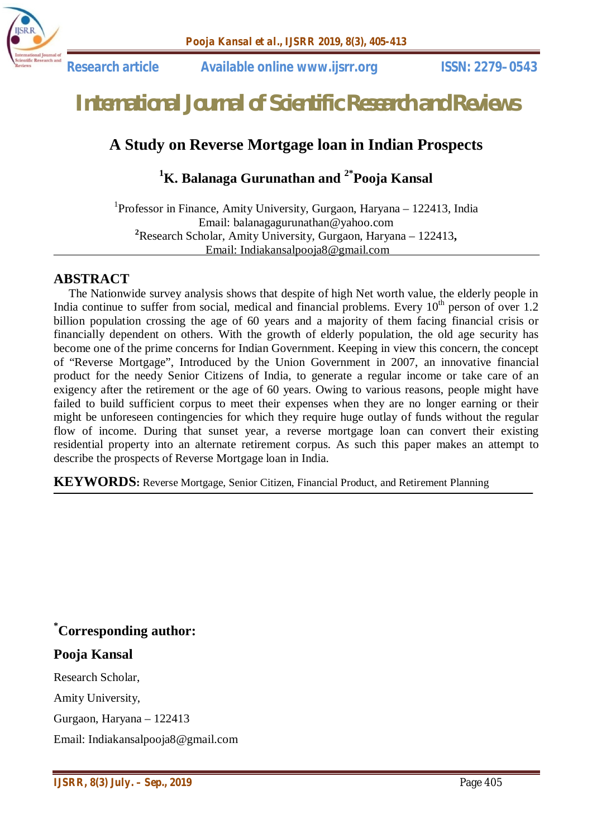

# *International Journal of Scientific Research and Reviews*

## **A Study on Reverse Mortgage loan in Indian Prospects**

## **<sup>1</sup>K. Balanaga Gurunathan and 2\* Pooja Kansal**

<sup>1</sup>Professor in Finance, Amity University, Gurgaon, Haryana - 122413, India Email: balanagagurunathan@yahoo.com **<sup>2</sup>**Research Scholar, Amity University, Gurgaon, Haryana – 122413**,** Email: Indiakansalpooja8@gmail.com

### **ABSTRACT**

 The Nationwide survey analysis shows that despite of high Net worth value, the elderly people in India continue to suffer from social, medical and financial problems. Every  $10<sup>th</sup>$  person of over 1.2 billion population crossing the age of 60 years and a majority of them facing financial crisis or financially dependent on others. With the growth of elderly population, the old age security has become one of the prime concerns for Indian Government. Keeping in view this concern, the concept of "Reverse Mortgage", Introduced by the Union Government in 2007, an innovative financial product for the needy Senior Citizens of India, to generate a regular income or take care of an exigency after the retirement or the age of 60 years. Owing to various reasons, people might have failed to build sufficient corpus to meet their expenses when they are no longer earning or their might be unforeseen contingencies for which they require huge outlay of funds without the regular flow of income. During that sunset year, a reverse mortgage loan can convert their existing residential property into an alternate retirement corpus. As such this paper makes an attempt to describe the prospects of Reverse Mortgage loan in India.

**KEYWORDS:** Reverse Mortgage, Senior Citizen, Financial Product, and Retirement Planning

## **\*Corresponding author:**

## **Pooja Kansal**

Research Scholar,

Amity University,

Gurgaon, Haryana – 122413

Email: Indiakansalpooja8@gmail.com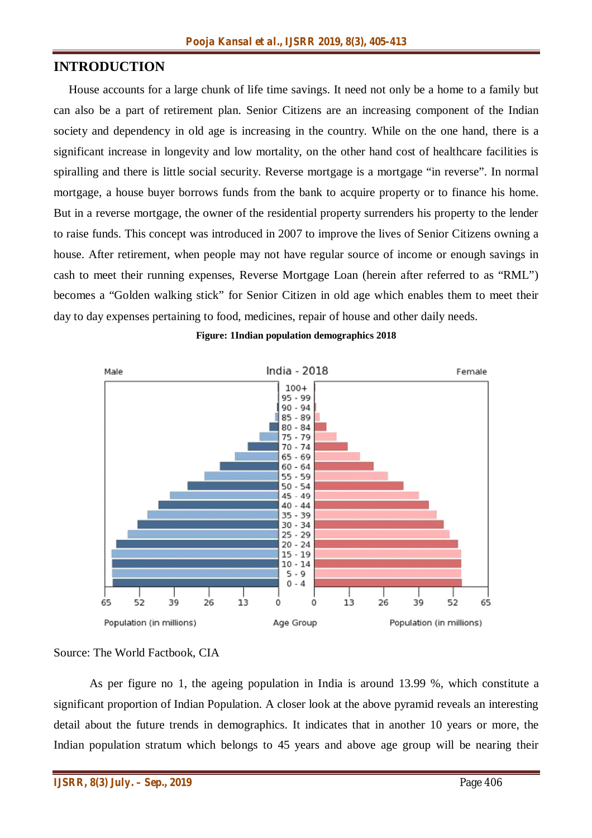## **INTRODUCTION**

 House accounts for a large chunk of life time savings. It need not only be a home to a family but can also be a part of retirement plan. Senior Citizens are an increasing component of the Indian society and dependency in old age is increasing in the country. While on the one hand, there is a significant increase in longevity and low mortality, on the other hand cost of healthcare facilities is spiralling and there is little social security. Reverse mortgage is a mortgage "in reverse". In normal mortgage, a house buyer borrows funds from the bank to acquire property or to finance his home. But in a reverse mortgage, the owner of the residential property surrenders his property to the lender to raise funds. This concept was introduced in 2007 to improve the lives of Senior Citizens owning a house. After retirement, when people may not have regular source of income or enough savings in cash to meet their running expenses, Reverse Mortgage Loan (herein after referred to as "RML") becomes a "Golden walking stick" for Senior Citizen in old age which enables them to meet their day to day expenses pertaining to food, medicines, repair of house and other daily needs.



#### **Figure: 1Indian population demographics 2018**

#### Source: The World Factbook, CIA

As per figure no 1, the ageing population in India is around 13.99 %, which constitute a significant proportion of Indian Population. A closer look at the above pyramid reveals an interesting detail about the future trends in demographics. It indicates that in another 10 years or more, the Indian population stratum which belongs to 45 years and above age group will be nearing their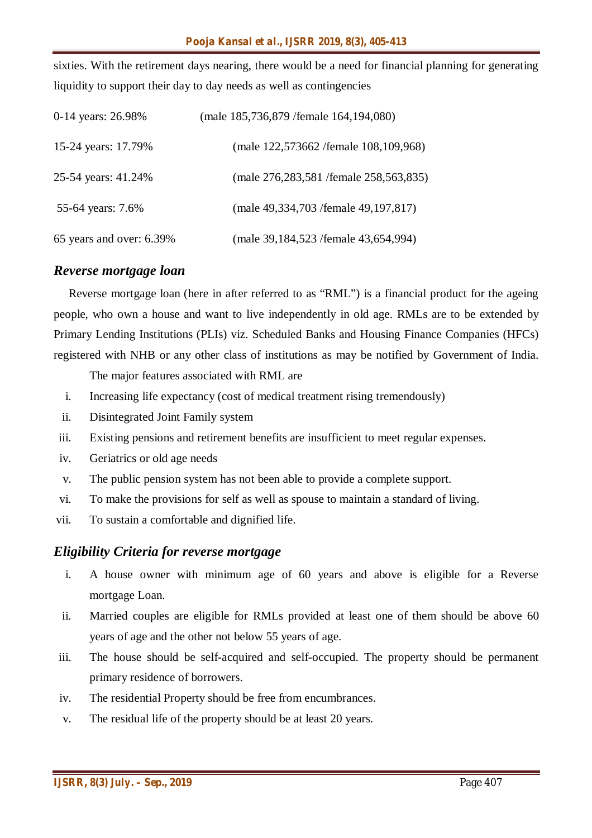sixties. With the retirement days nearing, there would be a need for financial planning for generating liquidity to support their day to day needs as well as contingencies

| 0-14 years: 26.98%       | (male 185,736,879 /female 164,194,080)  |  |  |
|--------------------------|-----------------------------------------|--|--|
| 15-24 years: 17.79%      | (male 122,573662/female 108,109,968)    |  |  |
| 25-54 years: 41.24%      | (male 276,283,581 / female 258,563,835) |  |  |
| 55-64 years: 7.6%        | (male 49,334,703 /female 49,197,817)    |  |  |
| 65 years and over: 6.39% | (male 39,184,523 / female 43,654,994)   |  |  |

### *Reverse mortgage loan*

 Reverse mortgage loan (here in after referred to as "RML") is a financial product for the ageing people, who own a house and want to live independently in old age. RMLs are to be extended by Primary Lending Institutions (PLIs) viz. Scheduled Banks and Housing Finance Companies (HFCs) registered with NHB or any other class of institutions as may be notified by Government of India.

The major features associated with RML are

- i. Increasing life expectancy (cost of medical treatment rising tremendously)
- ii. Disintegrated Joint Family system
- iii. Existing pensions and retirement benefits are insufficient to meet regular expenses.
- iv. Geriatrics or old age needs
- v. The public pension system has not been able to provide a complete support.
- vi. To make the provisions for self as well as spouse to maintain a standard of living.
- vii. To sustain a comfortable and dignified life.

#### *Eligibility Criteria for reverse mortgage*

- i. A house owner with minimum age of 60 years and above is eligible for a Reverse mortgage Loan.
- ii. Married couples are eligible for RMLs provided at least one of them should be above 60 years of age and the other not below 55 years of age.
- iii. The house should be self-acquired and self-occupied. The property should be permanent primary residence of borrowers.
- iv. The residential Property should be free from encumbrances.
- v. The residual life of the property should be at least 20 years.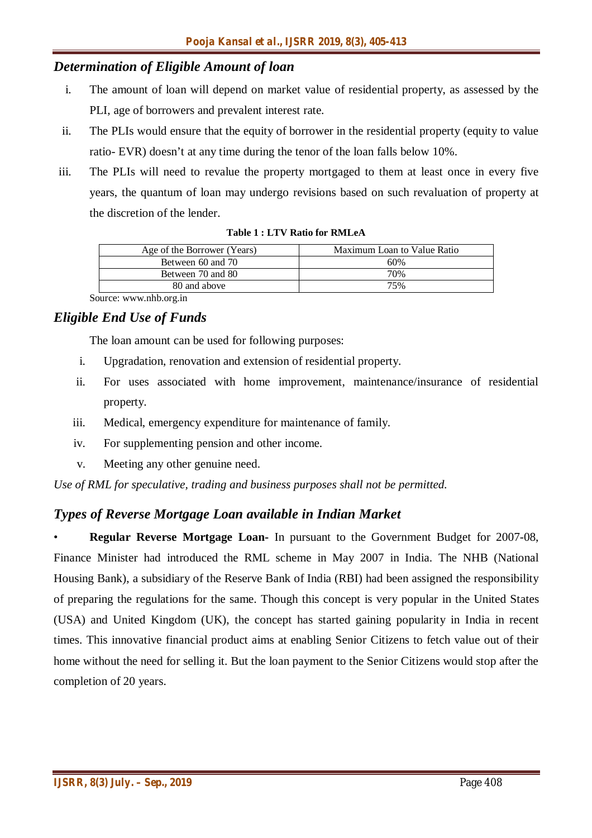## *Determination of Eligible Amount of loan*

- i. The amount of loan will depend on market value of residential property, as assessed by the PLI, age of borrowers and prevalent interest rate.
- ii. The PLIs would ensure that the equity of borrower in the residential property (equity to value ratio- EVR) doesn't at any time during the tenor of the loan falls below 10%.
- iii. The PLIs will need to revalue the property mortgaged to them at least once in every five years, the quantum of loan may undergo revisions based on such revaluation of property at the discretion of the lender.

| Age of the Borrower (Years) | Maximum Loan to Value Ratio |  |
|-----------------------------|-----------------------------|--|
| Between 60 and 70           | 60%                         |  |
| Between 70 and 80           | 70%                         |  |
| 80 and above                | 75%                         |  |

**Table 1 : LTV Ratio for RMLeA**

Source: www.nhb.org.in

## *Eligible End Use of Funds*

The loan amount can be used for following purposes:

- i. Upgradation, renovation and extension of residential property.
- ii. For uses associated with home improvement, maintenance/insurance of residential property.
- iii. Medical, emergency expenditure for maintenance of family.
- iv. For supplementing pension and other income.
- v. Meeting any other genuine need.

*Use of RML for speculative, trading and business purposes shall not be permitted.* 

## *Types of Reverse Mortgage Loan available in Indian Market*

• **Regular Reverse Mortgage Loan-** In pursuant to the Government Budget for 2007-08, Finance Minister had introduced the RML scheme in May 2007 in India. The NHB (National Housing Bank), a subsidiary of the Reserve Bank of India (RBI) had been assigned the responsibility of preparing the regulations for the same. Though this concept is very popular in the United States (USA) and United Kingdom (UK), the concept has started gaining popularity in India in recent times. This innovative financial product aims at enabling Senior Citizens to fetch value out of their home without the need for selling it. But the loan payment to the Senior Citizens would stop after the completion of 20 years.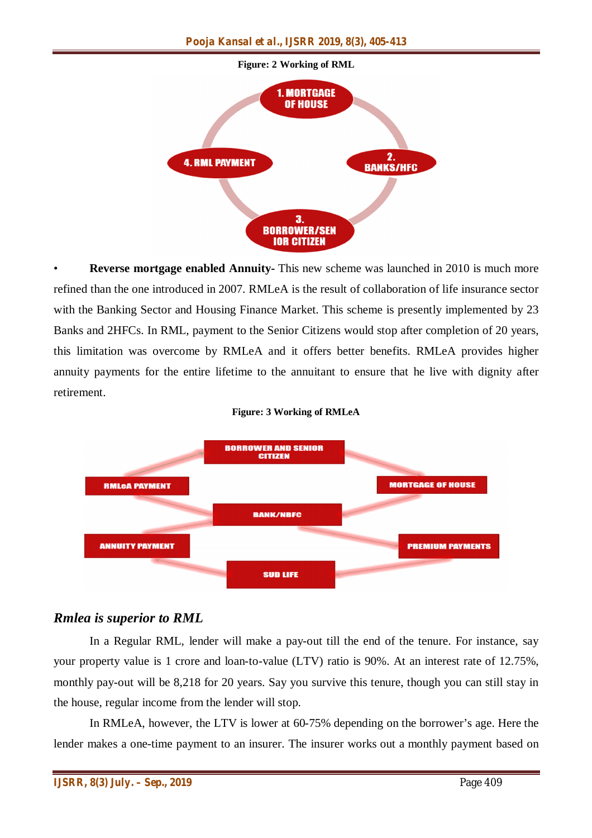

**Reverse mortgage enabled Annuity-** This new scheme was launched in 2010 is much more refined than the one introduced in 2007. RMLeA is the result of collaboration of life insurance sector with the Banking Sector and Housing Finance Market. This scheme is presently implemented by 23 Banks and 2HFCs. In RML, payment to the Senior Citizens would stop after completion of 20 years, this limitation was overcome by RMLeA and it offers better benefits. RMLeA provides higher annuity payments for the entire lifetime to the annuitant to ensure that he live with dignity after retirement.

#### **Figure: 3 Working of RMLeA**



#### *Rmlea is superior to RML*

In a Regular RML, lender will make a pay-out till the end of the tenure. For instance, say your property value is 1 crore and loan-to-value (LTV) ratio is 90%. At an interest rate of 12.75%, monthly pay-out will be 8,218 for 20 years. Say you survive this tenure, though you can still stay in the house, regular income from the lender will stop.

In RMLeA, however, the LTV is lower at 60-75% depending on the borrower's age. Here the lender makes a one-time payment to an insurer. The insurer works out a monthly payment based on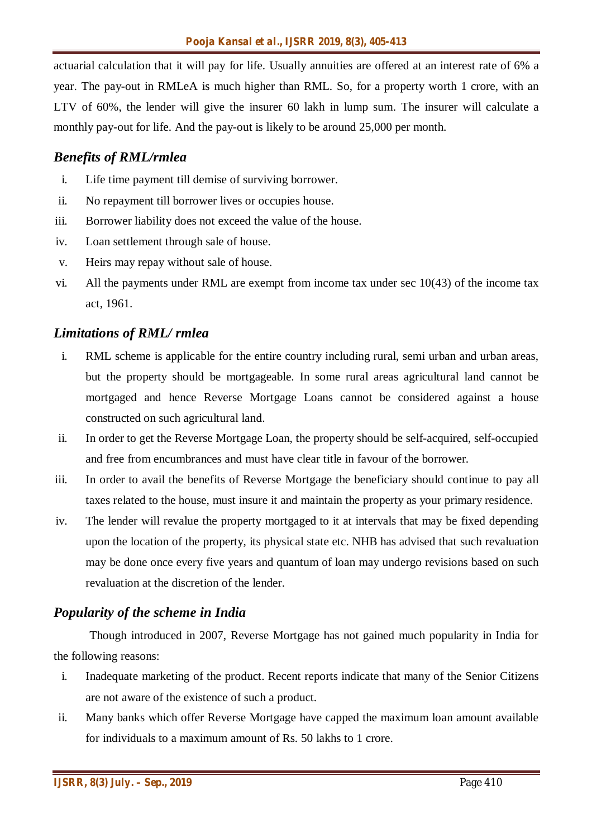actuarial calculation that it will pay for life. Usually annuities are offered at an interest rate of 6% a year. The pay-out in RMLeA is much higher than RML. So, for a property worth 1 crore, with an LTV of 60%, the lender will give the insurer 60 lakh in lump sum. The insurer will calculate a monthly pay-out for life. And the pay-out is likely to be around 25,000 per month.

## *Benefits of RML/rmlea*

- i. Life time payment till demise of surviving borrower.
- ii. No repayment till borrower lives or occupies house.
- iii. Borrower liability does not exceed the value of the house.
- iv. Loan settlement through sale of house.
- v. Heirs may repay without sale of house.
- vi. All the payments under RML are exempt from income tax under sec 10(43) of the income tax act, 1961.

## *Limitations of RML/ rmlea*

- i. RML scheme is applicable for the entire country including rural, semi urban and urban areas, but the property should be mortgageable. In some rural areas agricultural land cannot be mortgaged and hence Reverse Mortgage Loans cannot be considered against a house constructed on such agricultural land.
- ii. In order to get the Reverse Mortgage Loan, the property should be self-acquired, self-occupied and free from encumbrances and must have clear title in favour of the borrower.
- iii. In order to avail the benefits of Reverse Mortgage the beneficiary should continue to pay all taxes related to the house, must insure it and maintain the property as your primary residence.
- iv. The lender will revalue the property mortgaged to it at intervals that may be fixed depending upon the location of the property, its physical state etc. NHB has advised that such revaluation may be done once every five years and quantum of loan may undergo revisions based on such revaluation at the discretion of the lender.

## *Popularity of the scheme in India*

Though introduced in 2007, Reverse Mortgage has not gained much popularity in India for the following reasons:

- i. Inadequate marketing of the product. Recent reports indicate that many of the Senior Citizens are not aware of the existence of such a product.
- ii. Many banks which offer Reverse Mortgage have capped the maximum loan amount available for individuals to a maximum amount of Rs. 50 lakhs to 1 crore.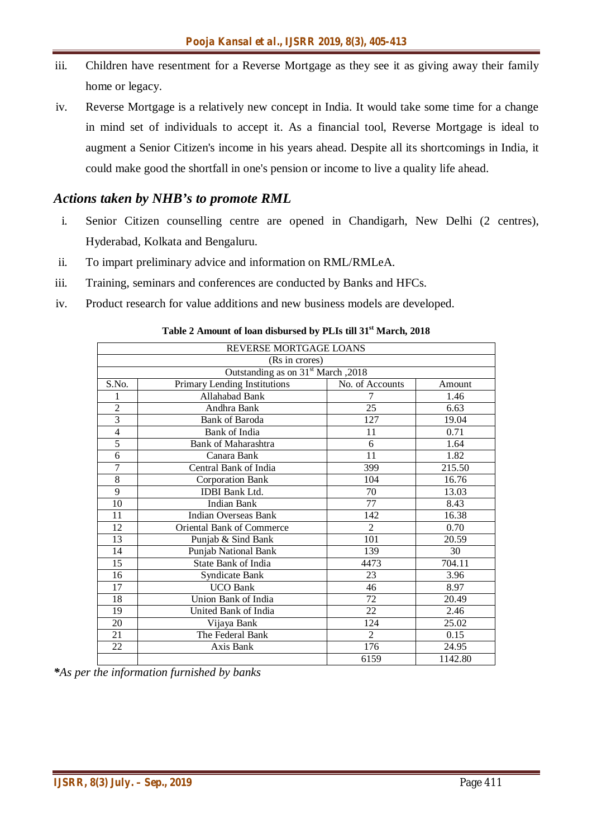- iii. Children have resentment for a Reverse Mortgage as they see it as giving away their family home or legacy.
- iv. Reverse Mortgage is a relatively new concept in India. It would take some time for a change in mind set of individuals to accept it. As a financial tool, Reverse Mortgage is ideal to augment a Senior Citizen's income in his years ahead. Despite all its shortcomings in India, it could make good the shortfall in one's pension or income to live a quality life ahead.

## *Actions taken by NHB's to promote RML*

- i. Senior Citizen counselling centre are opened in Chandigarh, New Delhi (2 centres), Hyderabad, Kolkata and Bengaluru.
- ii. To impart preliminary advice and information on RML/RMLeA.
- iii. Training, seminars and conferences are conducted by Banks and HFCs.
- iv. Product research for value additions and new business models are developed.

|                                                | REVERSE MORTGAGE LOANS           |                 |         |  |  |
|------------------------------------------------|----------------------------------|-----------------|---------|--|--|
| (Rs in crores)                                 |                                  |                 |         |  |  |
| Outstanding as on 31 <sup>st</sup> March, 2018 |                                  |                 |         |  |  |
| S.No.                                          | Primary Lending Institutions     | No. of Accounts | Amount  |  |  |
| 1                                              | Allahabad Bank                   | 7               | 1.46    |  |  |
| $\overline{2}$                                 | Andhra Bank                      | 25              | 6.63    |  |  |
| $\overline{3}$                                 | <b>Bank of Baroda</b>            | 127             | 19.04   |  |  |
| $\overline{4}$                                 | Bank of India                    | 11              | 0.71    |  |  |
| 5                                              | <b>Bank of Maharashtra</b>       | 6               | 1.64    |  |  |
| 6                                              | Canara Bank                      | 11              | 1.82    |  |  |
| 7                                              | Central Bank of India            | 399             | 215.50  |  |  |
| 8                                              | <b>Corporation Bank</b>          | 104             | 16.76   |  |  |
| 9                                              | <b>IDBI</b> Bank Ltd.            | 70              | 13.03   |  |  |
| 10                                             | <b>Indian Bank</b>               | 77              | 8.43    |  |  |
| 11                                             | <b>Indian Overseas Bank</b>      | 142             | 16.38   |  |  |
| 12                                             | <b>Oriental Bank of Commerce</b> | $\overline{2}$  | 0.70    |  |  |
| 13                                             | Punjab & Sind Bank               | 101             | 20.59   |  |  |
| 14                                             | Punjab National Bank             | 139             | 30      |  |  |
| 15                                             | State Bank of India              | 4473            | 704.11  |  |  |
| 16                                             | Syndicate Bank                   | 23              | 3.96    |  |  |
| 17                                             | <b>UCO</b> Bank                  | 46              | 8.97    |  |  |
| 18                                             | Union Bank of India              | 72              | 20.49   |  |  |
| 19                                             | United Bank of India             | 22              | 2.46    |  |  |
| 20                                             | Vijaya Bank                      | 124             | 25.02   |  |  |
| 21                                             | The Federal Bank                 | $\overline{2}$  | 0.15    |  |  |
| 22                                             | Axis Bank                        | 176             | 24.95   |  |  |
|                                                |                                  | 6159            | 1142.80 |  |  |

#### **Table 2 Amount of loan disbursed by PLIs till 31st March, 2018**

*\*As per the information furnished by banks*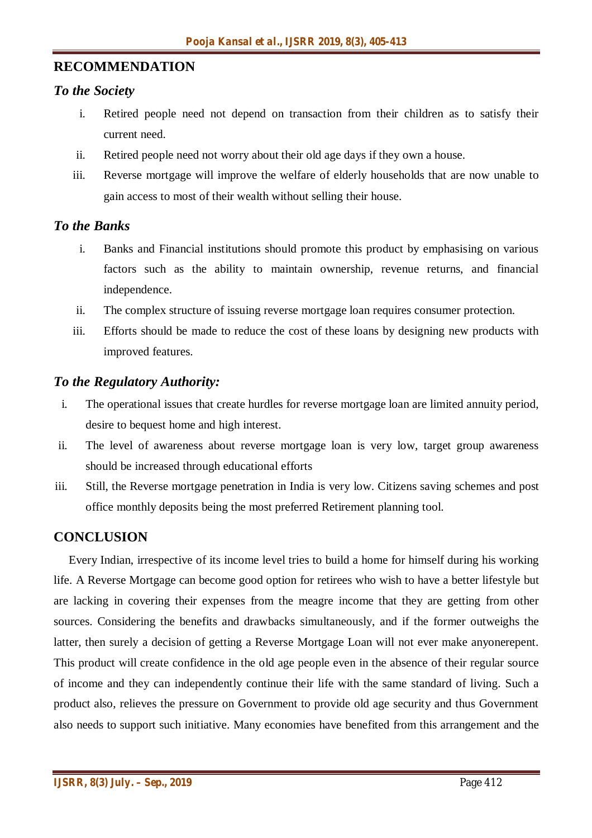## **RECOMMENDATION**

## *To the Society*

- i. Retired people need not depend on transaction from their children as to satisfy their current need.
- ii. Retired people need not worry about their old age days if they own a house.
- iii. Reverse mortgage will improve the welfare of elderly households that are now unable to gain access to most of their wealth without selling their house.

## *To the Banks*

- i. Banks and Financial institutions should promote this product by emphasising on various factors such as the ability to maintain ownership, revenue returns, and financial independence.
- ii. The complex structure of issuing reverse mortgage loan requires consumer protection.
- iii. Efforts should be made to reduce the cost of these loans by designing new products with improved features.

## *To the Regulatory Authority:*

- i. The operational issues that create hurdles for reverse mortgage loan are limited annuity period, desire to bequest home and high interest.
- ii. The level of awareness about reverse mortgage loan is very low, target group awareness should be increased through educational efforts
- iii. Still, the Reverse mortgage penetration in India is very low. Citizens saving schemes and post office monthly deposits being the most preferred Retirement planning tool.

## **CONCLUSION**

 Every Indian, irrespective of its income level tries to build a home for himself during his working life. A Reverse Mortgage can become good option for retirees who wish to have a better lifestyle but are lacking in covering their expenses from the meagre income that they are getting from other sources. Considering the benefits and drawbacks simultaneously, and if the former outweighs the latter, then surely a decision of getting a Reverse Mortgage Loan will not ever make anyonerepent. This product will create confidence in the old age people even in the absence of their regular source of income and they can independently continue their life with the same standard of living. Such a product also, relieves the pressure on Government to provide old age security and thus Government also needs to support such initiative. Many economies have benefited from this arrangement and the